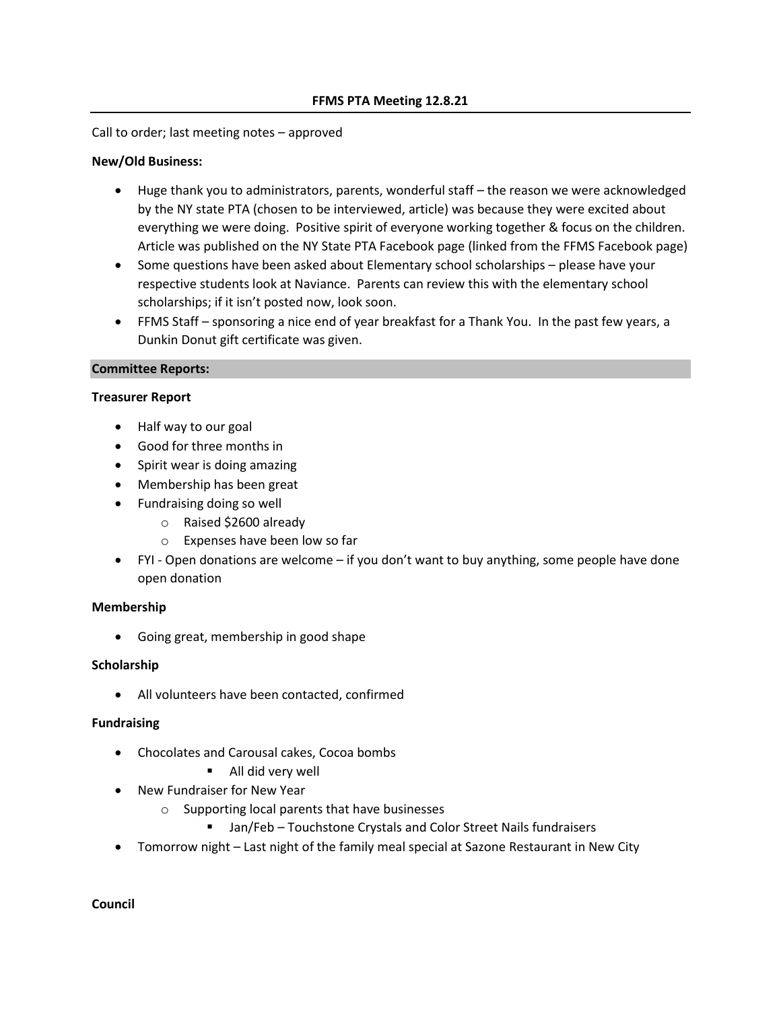#### Call to order; last meeting notes – approved

#### **New/Old Business:**

- Huge thank you to administrators, parents, wonderful staff the reason we were acknowledged by the NY state PTA (chosen to be interviewed, article) was because they were excited about everything we were doing. Positive spirit of everyone working together & focus on the children. Article was published on the NY State PTA Facebook page (linked from the FFMS Facebook page)
- Some questions have been asked about Elementary school scholarships please have your respective students look at Naviance. Parents can review this with the elementary school scholarships; if it isn't posted now, look soon.
- FFMS Staff sponsoring a nice end of year breakfast for a Thank You. In the past few years, a Dunkin Donut gift certificate was given.

#### **Committee Reports:**

#### **Treasurer Report**

- Half way to our goal
- Good for three months in
- Spirit wear is doing amazing
- Membership has been great
- Fundraising doing so well
	- o Raised \$2600 already
	- o Expenses have been low so far
- FYI Open donations are welcome if you don't want to buy anything, some people have done open donation

### **Membership**

• Going great, membership in good shape

### **Scholarship**

• All volunteers have been contacted, confirmed

### **Fundraising**

- Chocolates and Carousal cakes, Cocoa bombs
	- All did very well
- New Fundraiser for New Year
	- o Supporting local parents that have businesses
		- Jan/Feb Touchstone Crystals and Color Street Nails fundraisers
- Tomorrow night Last night of the family meal special at Sazone Restaurant in New City

**Council**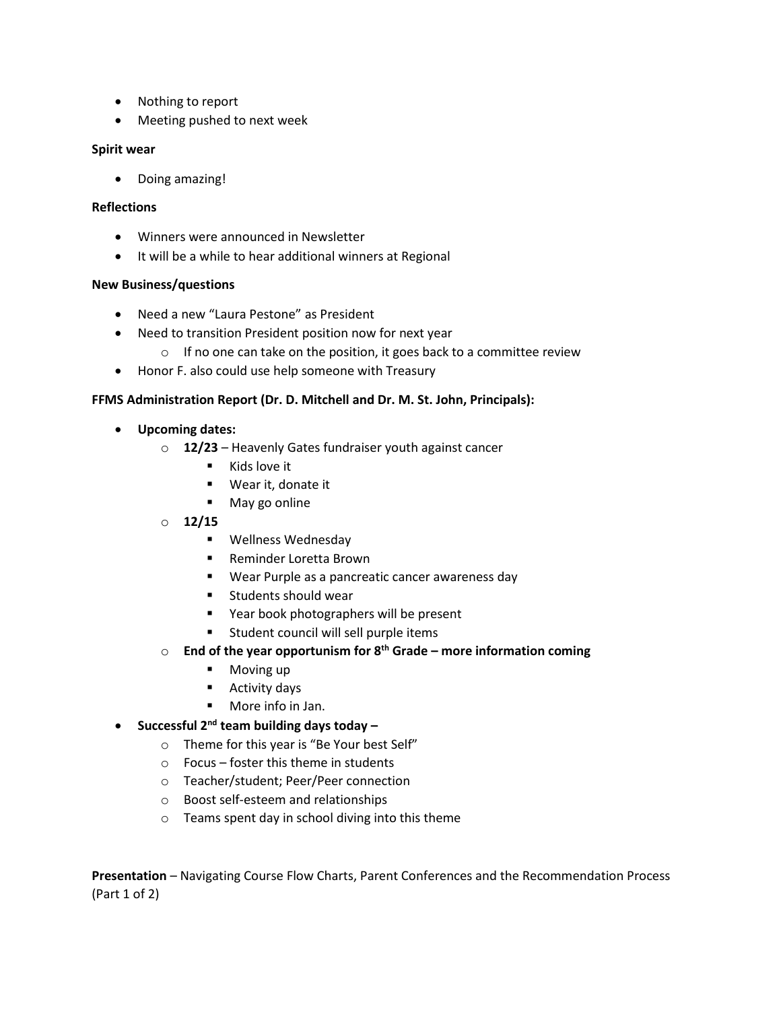- Nothing to report
- Meeting pushed to next week

# **Spirit wear**

• Doing amazing!

# **Reflections**

- Winners were announced in Newsletter
- It will be a while to hear additional winners at Regional

# **New Business/questions**

- Need a new "Laura Pestone" as President
- Need to transition President position now for next year
	- $\circ$  If no one can take on the position, it goes back to a committee review
- Honor F. also could use help someone with Treasury

# **FFMS Administration Report (Dr. D. Mitchell and Dr. M. St. John, Principals):**

- **Upcoming dates:**
	- o **12/23**  Heavenly Gates fundraiser youth against cancer
		- Kids love it
		- Wear it, donate it
		- May go online
	- o **12/15**
		- Wellness Wednesday
		- Reminder Loretta Brown
		- Wear Purple as a pancreatic cancer awareness day
		- Students should wear
		- Year book photographers will be present
		- Student council will sell purple items
	- o **End of the year opportunism for 8th Grade – more information coming**
		- Moving up
		- Activity days
		- More info in Jan.
- **Successful 2nd team building days today –**
	- o Theme for this year is "Be Your best Self"
	- o Focus foster this theme in students
	- o Teacher/student; Peer/Peer connection
	- o Boost self-esteem and relationships
	- o Teams spent day in school diving into this theme

**Presentation** – Navigating Course Flow Charts, Parent Conferences and the Recommendation Process (Part 1 of 2)